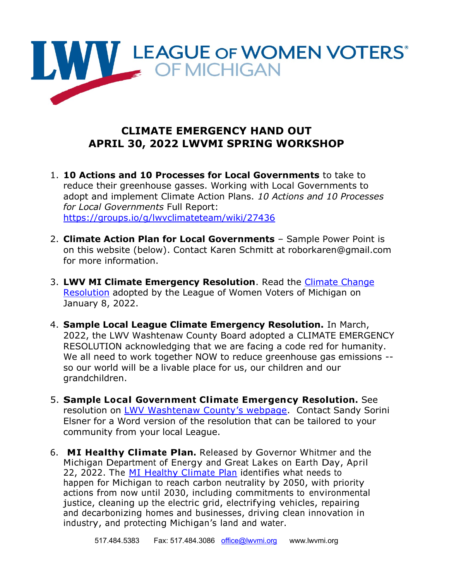

## **CLIMATE EMERGENCY HAND OUT APRIL 30, 2022 LWVMI SPRING WORKSHOP**

- 1. **10 Actions and 10 Processes for Local Governments** to take to reduce their greenhouse gasses. Working with Local Governments to adopt and implement Climate Action Plans. *10 Actions and 10 Processes for Local Governments* Full Report: <https://groups.io/g/lwvclimateteam/wiki/27436>
- 2. **Climate Action Plan for Local Governments**  Sample Power Point is on this website (below). Contact Karen Schmitt at roborkaren@gmail.com for more information.
- 3. **LWV MI Climate Emergency Resolution**. Read the [Climate Change](https://lwvmi.org/wp-content/uploads/2022/01/ClimateChgResolJan2022-1.pdf)  [Resolution](https://lwvmi.org/wp-content/uploads/2022/01/ClimateChgResolJan2022-1.pdf) adopted by the League of Women Voters of Michigan on January 8, 2022.
- 4. **Sample Local League Climate Emergency Resolution.** In March, 2022, the LWV Washtenaw County Board adopted a CLIMATE EMERGENCY RESOLUTION acknowledging that we are facing a code red for humanity. We all need to work together NOW to reduce greenhouse gas emissions - so our world will be a livable place for us, our children and our grandchildren.
- 5. **Sample Local Government Climate Emergency Resolution.** See resolution on [LWV Washtenaw County](https://my.lwv.org/michigan/washtenaw-county/environmental-justice-and-sustainability-advocacy)'s webpage. Contact Sandy Sorini Elsner for a Word version of the resolution that can be tailored to your community from your local League.
- 6. **MI Healthy Climate Plan.** Released by Governor Whitmer and the Michigan Department of Energy and Great Lakes on Earth Day, April 22, 2022. The MI [Healthy](https://www.michigan.gov/egle/-/media/Project/Websites/egle/Documents/Offices/OCE/MI-Healthy-Climate-Plan.pdf?rev=d13f4adc2b1d45909bd708cafccbfffa) Climate Plan identifies what needs to happen for Michigan to reach carbon neutrality by 2050, with priority actions from now until 2030, including commitments to environmental justice, cleaning up the electric grid, electrifying vehicles, repairing and decarbonizing homes and businesses, driving clean innovation in industry, and protecting Michigan's land and water.